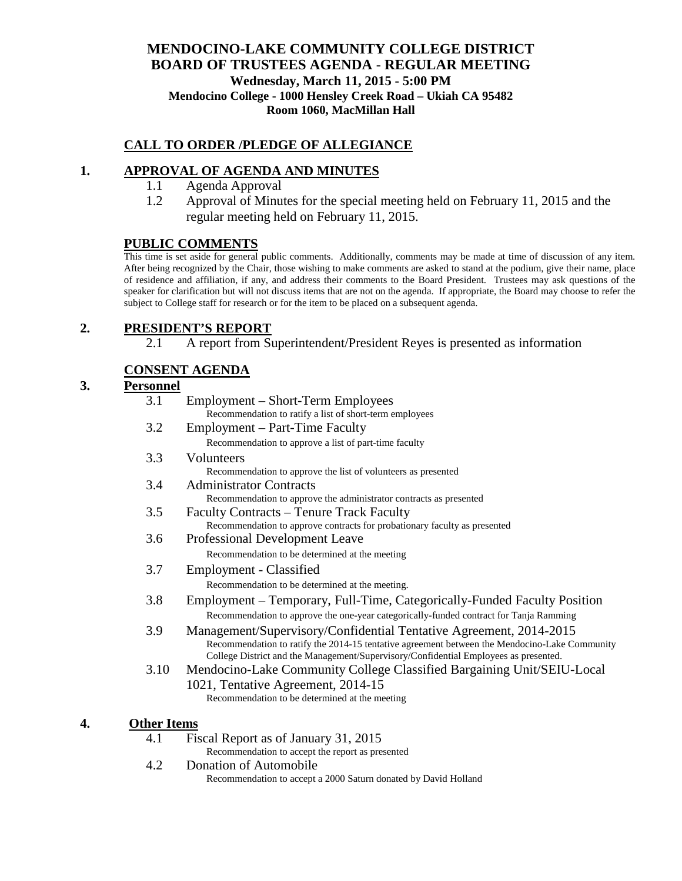### **MENDOCINO-LAKE COMMUNITY COLLEGE DISTRICT BOARD OF TRUSTEES AGENDA** - **REGULAR MEETING Wednesday, March 11, 2015 - 5:00 PM Mendocino College - 1000 Hensley Creek Road – Ukiah CA 95482 Room 1060, MacMillan Hall**

### **CALL TO ORDER /PLEDGE OF ALLEGIANCE**

### **1. APPROVAL OF AGENDA AND MINUTES**

- 1.1 Agenda Approval
- 1.2 Approval of Minutes for the special meeting held on February 11, 2015 and the regular meeting held on February 11, 2015.

#### **PUBLIC COMMENTS**

This time is set aside for general public comments. Additionally, comments may be made at time of discussion of any item. After being recognized by the Chair, those wishing to make comments are asked to stand at the podium, give their name, place of residence and affiliation, if any, and address their comments to the Board President. Trustees may ask questions of the speaker for clarification but will not discuss items that are not on the agenda. If appropriate, the Board may choose to refer the subject to College staff for research or for the item to be placed on a subsequent agenda.

#### **2. PRESIDENT'S REPORT**

2.1 A report from Superintendent/President Reyes is presented as information

### **CONSENT AGENDA**

### **3. Personnel**

|    | 3.1                | Employment – Short-Term Employees<br>Recommendation to ratify a list of short-term employees                                                                                          |
|----|--------------------|---------------------------------------------------------------------------------------------------------------------------------------------------------------------------------------|
|    | 3.2                | Employment – Part-Time Faculty                                                                                                                                                        |
|    |                    | Recommendation to approve a list of part-time faculty                                                                                                                                 |
|    | 3.3                | Volunteers                                                                                                                                                                            |
|    |                    | Recommendation to approve the list of volunteers as presented                                                                                                                         |
|    | 3.4                | Administrator Contracts                                                                                                                                                               |
|    |                    | Recommendation to approve the administrator contracts as presented                                                                                                                    |
|    | 3.5                | <b>Faculty Contracts – Tenure Track Faculty</b>                                                                                                                                       |
|    |                    | Recommendation to approve contracts for probationary faculty as presented                                                                                                             |
|    | 3.6                | <b>Professional Development Leave</b>                                                                                                                                                 |
|    |                    | Recommendation to be determined at the meeting                                                                                                                                        |
|    | 3.7                | Employment - Classified                                                                                                                                                               |
|    |                    | Recommendation to be determined at the meeting.                                                                                                                                       |
|    | 3.8                | Employment – Temporary, Full-Time, Categorically-Funded Faculty Position                                                                                                              |
|    |                    | Recommendation to approve the one-year categorically-funded contract for Tanja Ramming                                                                                                |
|    | 3.9                | Management/Supervisory/Confidential Tentative Agreement, 2014-2015                                                                                                                    |
|    |                    | Recommendation to ratify the 2014-15 tentative agreement between the Mendocino-Lake Community<br>College District and the Management/Supervisory/Confidential Employees as presented. |
|    | 3.10               | Mendocino-Lake Community College Classified Bargaining Unit/SEIU-Local                                                                                                                |
|    |                    | 1021, Tentative Agreement, 2014-15                                                                                                                                                    |
|    |                    | Recommendation to be determined at the meeting                                                                                                                                        |
| 4. | <b>Other Items</b> |                                                                                                                                                                                       |
|    | 4.1                | Fiscal Report as of January 31, 2015                                                                                                                                                  |
|    |                    | Recommendation to accept the report as presented                                                                                                                                      |

4.2 Donation of Automobile Recommendation to accept a 2000 Saturn donated by David Holland